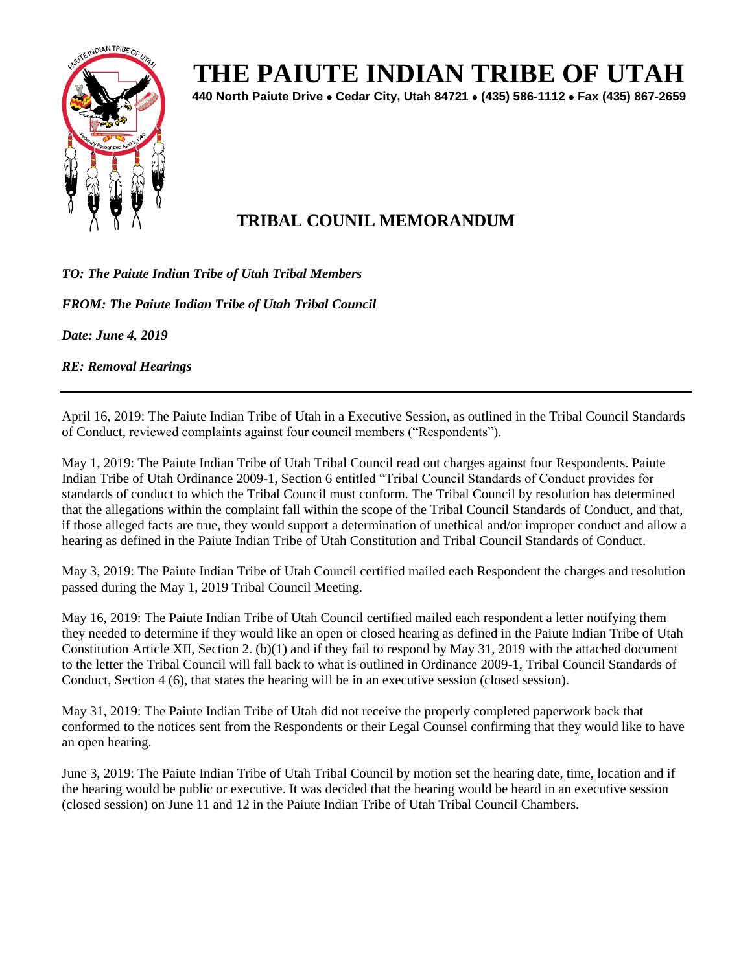

## **THE PAIUTE INDIAN TRIBE OF UTAH**

**440 North Paiute Drive** • **Cedar City, Utah 84721** • **(435) 586-1112** • **Fax (435) 867-2659** 

## **TRIBAL COUNIL MEMORANDUM**

*TO: The Paiute Indian Tribe of Utah Tribal Members* 

*FROM: The Paiute Indian Tribe of Utah Tribal Council* 

*Date: June 4, 2019*

*RE: Removal Hearings* 

April 16, 2019: The Paiute Indian Tribe of Utah in a Executive Session, as outlined in the Tribal Council Standards of Conduct, reviewed complaints against four council members ("Respondents").

May 1, 2019: The Paiute Indian Tribe of Utah Tribal Council read out charges against four Respondents. Paiute Indian Tribe of Utah Ordinance 2009-1, Section 6 entitled "Tribal Council Standards of Conduct provides for standards of conduct to which the Tribal Council must conform. The Tribal Council by resolution has determined that the allegations within the complaint fall within the scope of the Tribal Council Standards of Conduct, and that, if those alleged facts are true, they would support a determination of unethical and/or improper conduct and allow a hearing as defined in the Paiute Indian Tribe of Utah Constitution and Tribal Council Standards of Conduct.

May 3, 2019: The Paiute Indian Tribe of Utah Council certified mailed each Respondent the charges and resolution passed during the May 1, 2019 Tribal Council Meeting.

May 16, 2019: The Paiute Indian Tribe of Utah Council certified mailed each respondent a letter notifying them they needed to determine if they would like an open or closed hearing as defined in the Paiute Indian Tribe of Utah Constitution Article XII, Section 2. (b)(1) and if they fail to respond by May 31, 2019 with the attached document to the letter the Tribal Council will fall back to what is outlined in Ordinance 2009-1, Tribal Council Standards of Conduct, Section 4 (6), that states the hearing will be in an executive session (closed session).

May 31, 2019: The Paiute Indian Tribe of Utah did not receive the properly completed paperwork back that conformed to the notices sent from the Respondents or their Legal Counsel confirming that they would like to have an open hearing.

June 3, 2019: The Paiute Indian Tribe of Utah Tribal Council by motion set the hearing date, time, location and if the hearing would be public or executive. It was decided that the hearing would be heard in an executive session (closed session) on June 11 and 12 in the Paiute Indian Tribe of Utah Tribal Council Chambers.